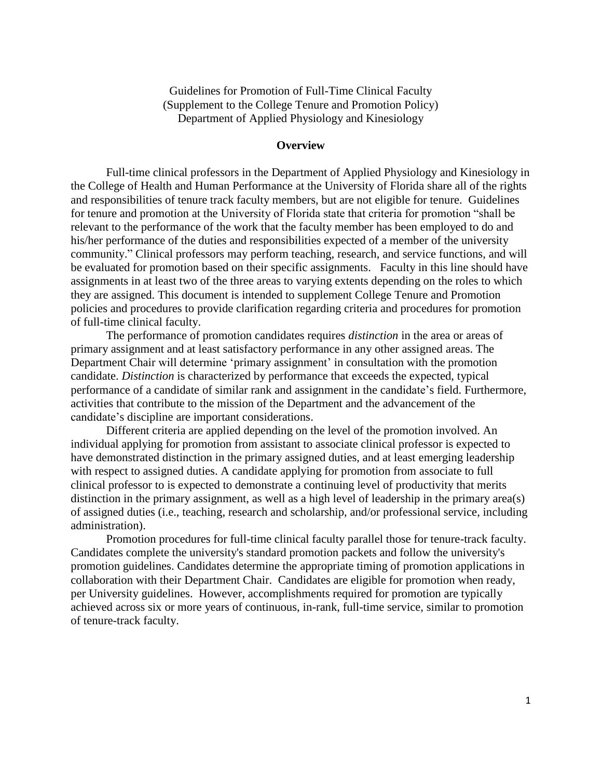Guidelines for Promotion of Full-Time Clinical Faculty (Supplement to the College Tenure and Promotion Policy) Department of Applied Physiology and Kinesiology

#### **Overview**

Full-time clinical professors in the Department of Applied Physiology and Kinesiology in the College of Health and Human Performance at the University of Florida share all of the rights and responsibilities of tenure track faculty members, but are not eligible for tenure. Guidelines for tenure and promotion at the University of Florida state that criteria for promotion "shall be relevant to the performance of the work that the faculty member has been employed to do and his/her performance of the duties and responsibilities expected of a member of the university community." Clinical professors may perform teaching, research, and service functions, and will be evaluated for promotion based on their specific assignments. Faculty in this line should have assignments in at least two of the three areas to varying extents depending on the roles to which they are assigned. This document is intended to supplement College Tenure and Promotion policies and procedures to provide clarification regarding criteria and procedures for promotion of full-time clinical faculty.

The performance of promotion candidates requires *distinction* in the area or areas of primary assignment and at least satisfactory performance in any other assigned areas. The Department Chair will determine 'primary assignment' in consultation with the promotion candidate. *Distinction* is characterized by performance that exceeds the expected, typical performance of a candidate of similar rank and assignment in the candidate's field. Furthermore, activities that contribute to the mission of the Department and the advancement of the candidate's discipline are important considerations.

Different criteria are applied depending on the level of the promotion involved. An individual applying for promotion from assistant to associate clinical professor is expected to have demonstrated distinction in the primary assigned duties, and at least emerging leadership with respect to assigned duties. A candidate applying for promotion from associate to full clinical professor to is expected to demonstrate a continuing level of productivity that merits distinction in the primary assignment, as well as a high level of leadership in the primary area(s) of assigned duties (i.e., teaching, research and scholarship, and/or professional service, including administration).

Promotion procedures for full-time clinical faculty parallel those for tenure-track faculty. Candidates complete the university's standard promotion packets and follow the university's promotion guidelines. Candidates determine the appropriate timing of promotion applications in collaboration with their Department Chair. Candidates are eligible for promotion when ready, per University guidelines. However, accomplishments required for promotion are typically achieved across six or more years of continuous, in-rank, full-time service, similar to promotion of tenure-track faculty.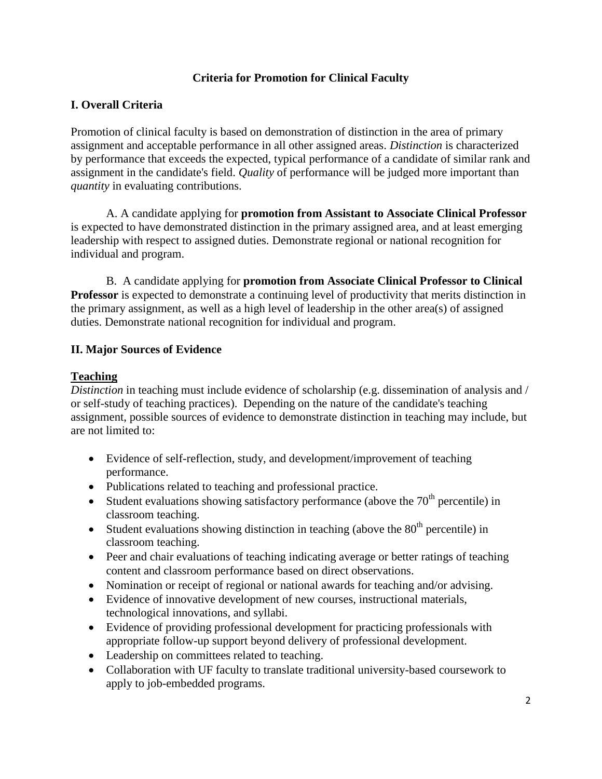## **Criteria for Promotion for Clinical Faculty**

## **I. Overall Criteria**

Promotion of clinical faculty is based on demonstration of distinction in the area of primary assignment and acceptable performance in all other assigned areas. *Distinction* is characterized by performance that exceeds the expected, typical performance of a candidate of similar rank and assignment in the candidate's field. *Quality* of performance will be judged more important than *quantity* in evaluating contributions.

A. A candidate applying for **promotion from Assistant to Associate Clinical Professor**  is expected to have demonstrated distinction in the primary assigned area, and at least emerging leadership with respect to assigned duties. Demonstrate regional or national recognition for individual and program.

B. A candidate applying for **promotion from Associate Clinical Professor to Clinical Professor** is expected to demonstrate a continuing level of productivity that merits distinction in the primary assignment, as well as a high level of leadership in the other area(s) of assigned duties. Demonstrate national recognition for individual and program.

### **II. Major Sources of Evidence**

#### **Teaching**

*Distinction* in teaching must include evidence of scholarship (e.g. dissemination of analysis and / or self-study of teaching practices). Depending on the nature of the candidate's teaching assignment, possible sources of evidence to demonstrate distinction in teaching may include, but are not limited to:

- Evidence of self-reflection, study, and development/improvement of teaching performance.
- Publications related to teaching and professional practice.
- Student evaluations showing satisfactory performance (above the  $70<sup>th</sup>$  percentile) in classroom teaching.
- Student evaluations showing distinction in teaching (above the  $80<sup>th</sup>$  percentile) in classroom teaching.
- Peer and chair evaluations of teaching indicating average or better ratings of teaching content and classroom performance based on direct observations.
- Nomination or receipt of regional or national awards for teaching and/or advising.
- Evidence of innovative development of new courses, instructional materials, technological innovations, and syllabi.
- Evidence of providing professional development for practicing professionals with appropriate follow-up support beyond delivery of professional development.
- Leadership on committees related to teaching.
- Collaboration with UF faculty to translate traditional university-based coursework to apply to job-embedded programs.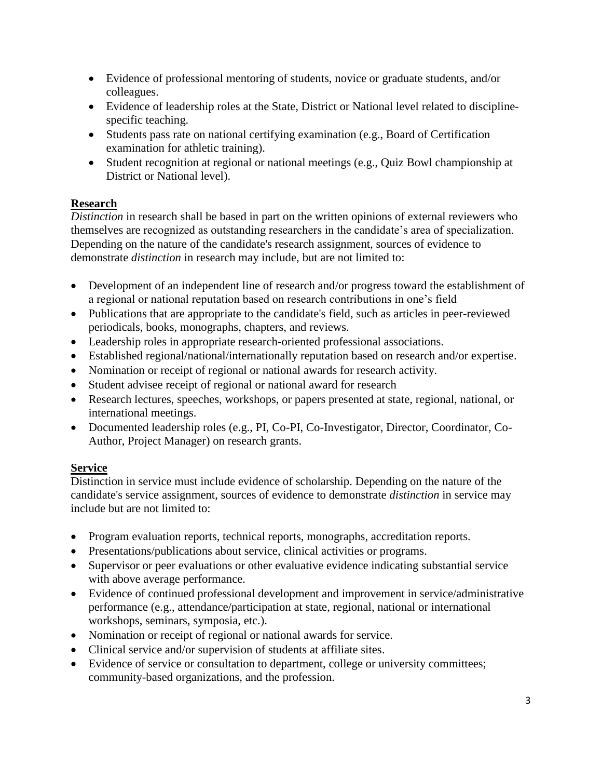- Evidence of professional mentoring of students, novice or graduate students, and/or colleagues.
- Evidence of leadership roles at the State, District or National level related to disciplinespecific teaching.
- Students pass rate on national certifying examination (e.g., Board of Certification examination for athletic training).
- Student recognition at regional or national meetings (e.g., Quiz Bowl championship at District or National level).

## **Research**

*Distinction* in research shall be based in part on the written opinions of external reviewers who themselves are recognized as outstanding researchers in the candidate's area of specialization. Depending on the nature of the candidate's research assignment, sources of evidence to demonstrate *distinction* in research may include, but are not limited to:

- Development of an independent line of research and/or progress toward the establishment of a regional or national reputation based on research contributions in one's field
- Publications that are appropriate to the candidate's field, such as articles in peer-reviewed periodicals, books, monographs, chapters, and reviews.
- Leadership roles in appropriate research-oriented professional associations.
- Established regional/national/internationally reputation based on research and/or expertise.
- Nomination or receipt of regional or national awards for research activity.
- Student advisee receipt of regional or national award for research
- Research lectures, speeches, workshops, or papers presented at state, regional, national, or international meetings.
- Documented leadership roles (e.g., PI, Co-PI, Co-Investigator, Director, Coordinator, Co-Author, Project Manager) on research grants.

# **Service**

Distinction in service must include evidence of scholarship. Depending on the nature of the candidate's service assignment, sources of evidence to demonstrate *distinction* in service may include but are not limited to:

- Program evaluation reports, technical reports, monographs, accreditation reports.
- Presentations/publications about service, clinical activities or programs.
- Supervisor or peer evaluations or other evaluative evidence indicating substantial service with above average performance.
- Evidence of continued professional development and improvement in service/administrative performance (e.g., attendance/participation at state, regional, national or international workshops, seminars, symposia, etc.).
- Nomination or receipt of regional or national awards for service.
- Clinical service and/or supervision of students at affiliate sites.
- Evidence of service or consultation to department, college or university committees; community-based organizations, and the profession.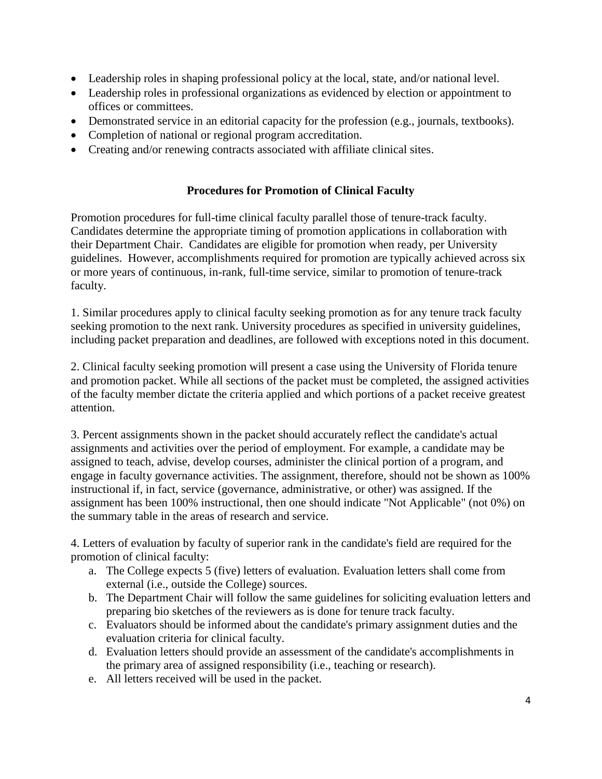- Leadership roles in shaping professional policy at the local, state, and/or national level.
- Leadership roles in professional organizations as evidenced by election or appointment to offices or committees.
- Demonstrated service in an editorial capacity for the profession (e.g., journals, textbooks).
- Completion of national or regional program accreditation.
- Creating and/or renewing contracts associated with affiliate clinical sites.

## **Procedures for Promotion of Clinical Faculty**

Promotion procedures for full-time clinical faculty parallel those of tenure-track faculty. Candidates determine the appropriate timing of promotion applications in collaboration with their Department Chair. Candidates are eligible for promotion when ready, per University guidelines. However, accomplishments required for promotion are typically achieved across six or more years of continuous, in-rank, full-time service, similar to promotion of tenure-track faculty.

1. Similar procedures apply to clinical faculty seeking promotion as for any tenure track faculty seeking promotion to the next rank. University procedures as specified in university guidelines, including packet preparation and deadlines, are followed with exceptions noted in this document.

2. Clinical faculty seeking promotion will present a case using the University of Florida tenure and promotion packet. While all sections of the packet must be completed, the assigned activities of the faculty member dictate the criteria applied and which portions of a packet receive greatest attention.

3. Percent assignments shown in the packet should accurately reflect the candidate's actual assignments and activities over the period of employment. For example, a candidate may be assigned to teach, advise, develop courses, administer the clinical portion of a program, and engage in faculty governance activities. The assignment, therefore, should not be shown as 100% instructional if, in fact, service (governance, administrative, or other) was assigned. If the assignment has been 100% instructional, then one should indicate "Not Applicable" (not 0%) on the summary table in the areas of research and service.

4. Letters of evaluation by faculty of superior rank in the candidate's field are required for the promotion of clinical faculty:

- a. The College expects 5 (five) letters of evaluation. Evaluation letters shall come from external (i.e., outside the College) sources.
- b. The Department Chair will follow the same guidelines for soliciting evaluation letters and preparing bio sketches of the reviewers as is done for tenure track faculty.
- c. Evaluators should be informed about the candidate's primary assignment duties and the evaluation criteria for clinical faculty.
- d. Evaluation letters should provide an assessment of the candidate's accomplishments in the primary area of assigned responsibility (i.e., teaching or research).
- e. All letters received will be used in the packet.